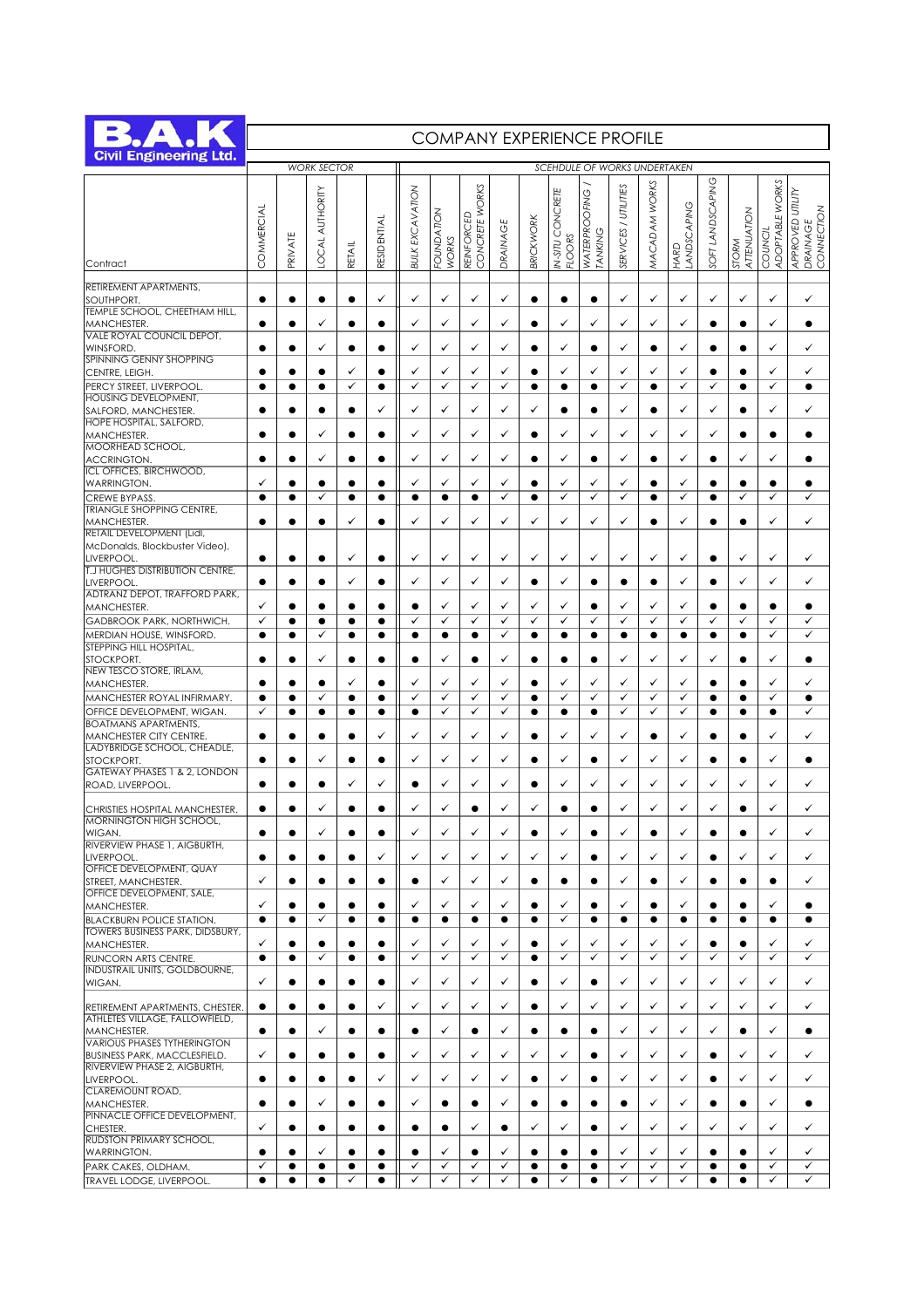

## COMPANY EXPERIENCE PROFILE

| <b>Civil Engineering Ltd.</b>                                                                      |                |                        | <b>WORK SECTOR</b>    |                        |                | SCEHDULE OF WORKS UNDERTAKEN |                     |                                        |                   |                |                                   |                              |                      |                   |                     |                   |                        |                           |                                                   |
|----------------------------------------------------------------------------------------------------|----------------|------------------------|-----------------------|------------------------|----------------|------------------------------|---------------------|----------------------------------------|-------------------|----------------|-----------------------------------|------------------------------|----------------------|-------------------|---------------------|-------------------|------------------------|---------------------------|---------------------------------------------------|
| Contract                                                                                           | COMMERCIAL     | PRIVATE                | <b>OCAL AUTHORITY</b> | RETAIL                 | RESIDENTIAL    | <b>BULK EXCAVATION</b>       | FOUNDATION<br>WORKS | WORKS<br><b>REINFORCED</b><br>CONCRETE | DRAINAGE          | BRICKWORK      | IN-SITU CONCRETE<br><b>FLOORS</b> | OFING<br>WATERPRO<br>TANKING | SERVICES / UTILITIES | MACADAM WORKS     | LANDSCAPING<br>HARD | SOFT LANDSCAPING  | ATTENUATION<br>STORM   | ADOPTABLE WORKS<br>COUNCI | APPROVED UTILITY<br>CONNECTION<br><b>DRAINAGE</b> |
| RETIREMENT APARTMENTS,                                                                             |                |                        |                       |                        |                |                              |                     |                                        |                   |                |                                   |                              |                      |                   |                     |                   |                        |                           |                                                   |
| SOUTHPORT.                                                                                         | $\bullet$      | $\bullet$              | $\bullet$             | $\bullet$              | ✓              | ✓                            | ✓                   | ✓                                      | ✓                 | $\bullet$      | $\bullet$                         | $\bullet$                    | ✓                    | ✓                 | ✓                   | ✓                 | ✓                      | ✓                         | ✓                                                 |
| TEMPLE SCHOOL, CHEETHAM HILL,<br>MANCHESTER.                                                       |                |                        | ✓                     |                        |                | ✓                            | ✓                   | ✓                                      | ✓                 |                | ✓                                 | ✓                            | ✓                    | ✓                 | ✓                   |                   |                        | ✓                         | $\bullet$                                         |
| VALE ROYAL COUNCIL DEPOT,                                                                          | $\bullet$      |                        | ✓                     | $\bullet$              | $\bullet$      | ✓                            | ✓                   | ✓                                      | ✓                 |                | ✓                                 |                              | ✓                    |                   | ✓                   | ●                 | $\bullet$              | ✓                         | ✓                                                 |
| <b>WINSFORD.</b><br>SPINNING GENNY SHOPPING                                                        |                |                        |                       |                        |                |                              |                     |                                        |                   |                |                                   |                              |                      |                   |                     |                   |                        |                           |                                                   |
| CENTRE, LEIGH.<br>PERCY STREET, LIVERPOOL.                                                         | ٠<br>٠         | ٠<br>٠                 | ٠<br>٠                | ✓<br>✓                 |                | ✓<br>✓                       | ✓<br>✓              | ✓<br>✓                                 | ✓<br>✓            | ٠              | ✓<br>$\bullet$                    | ✓                            | ✓<br>✓               | ✓<br>$\bullet$    | ✓<br>✓              | e<br>✓            | $\bullet$              | ✓<br>✓                    | ✓<br>$\bullet$                                    |
| <b>HOUSING DEVELOPMENT,</b>                                                                        |                |                        |                       |                        |                |                              |                     |                                        |                   |                |                                   |                              |                      |                   |                     |                   |                        |                           |                                                   |
| SALFORD, MANCHESTER.<br>HOPE HOSPITAL, SALFORD,                                                    | ٠              |                        | $\bullet$             | $\bullet$              | ✓              | ✓                            | ✓                   | ✓                                      | ✓                 | ✓              | $\bullet$                         |                              | ✓                    | $\bullet$         | ✓                   | ✓                 | $\bullet$              | ✓                         | ✓                                                 |
| MANCHESTER.<br>MOORHEAD SCHOOL,                                                                    |                |                        | ✓                     | ٠                      |                | ✓                            | ✓                   | ✓                                      | ✓                 |                | ✓                                 | ✓                            | ✓                    | ✓                 | ✓                   | ✓                 |                        |                           |                                                   |
| <b>ACCRINGTON.</b>                                                                                 |                |                        | ✓                     | $\bullet$              | $\bullet$      | ✓                            | ✓                   | ✓                                      | ✓                 |                | ✓                                 |                              | ✓                    |                   | ✓                   | ٠                 | ✓                      | ✓                         | $\bullet$                                         |
| <b>ICL OFFICES, BIRCHWOOD,</b><br><b>WARRINGTON.</b>                                               | ✓              | ٠                      | ٠                     | ٠                      |                | ✓                            | ✓                   | ✓                                      | ✓                 | ٠              | ✓                                 | ✓                            | ✓                    |                   | ✓                   | ٠                 |                        |                           |                                                   |
| <b>CREWE BYPASS</b><br><b>TRIANGLE SHOPPING CENTRE,</b>                                            | $\bullet$      | ٠                      | ✓                     | $\bullet$              |                | $\bullet$                    | $\bullet$           | $\bullet$                              | ✓                 | ٠              | ✓                                 | ✓                            | ✓                    |                   | ✓                   |                   | ✓                      | ✓                         | ✓                                                 |
| MANCHESTER.                                                                                        | ٠              | $\bullet$              | $\bullet$             | ✓                      | $\bullet$      | ✓                            | ✓                   | ✓                                      | ✓                 | ✓              | ✓                                 | ✓                            | ✓                    |                   | ✓                   | ٠                 |                        | ✓                         | ✓                                                 |
| <b>RETAIL DEVELOPMENT (Lidi,</b><br>McDonalds, Blockbuster Video),                                 |                |                        |                       |                        |                |                              |                     |                                        |                   |                |                                   |                              |                      |                   |                     |                   |                        |                           |                                                   |
| LIVERPOOL.<br><b>T.J HUGHES DISTRIBUTION CENTRE,</b>                                               | ٠              | $\bullet$              | $\bullet$             | ✓                      | $\bullet$      | ✓                            | ✓                   | ✓                                      | ✓                 | ✓              | ✓                                 | ✓                            | ✓                    | ✓                 | ✓                   | $\bullet$         | ✓                      | ✓                         | ✓                                                 |
| <b>LIVERPOOL</b>                                                                                   | ٠              |                        | ٠                     | ✓                      |                | ✓                            | ✓                   | ✓                                      | ✓                 | ٠              | ✓                                 |                              |                      |                   | ✓                   |                   | ✓                      | ✓                         | ✓                                                 |
| <b>ADTRANZ DEPOT, TRAFFORD PARK,</b><br>MANCHESTER.                                                | ✓              |                        | $\bullet$             | $\bullet$              |                | $\bullet$                    | ✓                   | ✓                                      | ✓                 | ✓              | ✓                                 |                              | ✓                    | ✓                 | ✓                   | $\bullet$         | $\bullet$              | ٠                         | $\bullet$                                         |
| GADBROOK PARK, NORTHWICH.                                                                          | ✓              | $\bullet$              | ٠                     |                        |                | ✓                            | ✓                   | ✓                                      | ✓                 | ✓              | ✓                                 | ✓                            | ✓                    | ✓                 | ✓                   | ✓                 | ✓                      | ✓                         | ✓                                                 |
| MERDIAN HOUSE, WINSFORD.<br>STEPPING HILL HOSPITAL,                                                | $\bullet$      | $\bullet$              | ✓                     | $\bullet$              | $\bullet$      | $\bullet$                    | $\bullet$           | $\bullet$                              | ✓                 | $\bullet$      | $\bullet$                         | $\bullet$                    | $\bullet$            | $\bullet$         | $\bullet$           | $\bullet$         | $\bullet$              | ✓                         | ✓                                                 |
| STOCKPORT.<br>NEW TESCO STORE, IRLAM,                                                              | ٠              | $\bullet$              | ✓                     | $\bullet$              | $\bullet$      | ٠                            | ✓                   | ٠                                      | ✓                 | ٠              | ٠                                 |                              | ✓                    | ✓                 | ✓                   | ✓                 |                        | ✓                         | $\bullet$                                         |
| MANCHESTER.                                                                                        | ٠              |                        | $\bullet$             | ✓                      | $\bullet$      | ✓                            | ✓                   | ✓                                      | ✓                 | ●              | ✓                                 | ✓                            | ✓                    | ✓                 | ✓                   | ٠                 | $\bullet$              | ✓                         | ✓                                                 |
| MANCHESTER ROYAL INFIRMARY.<br>OFFICE DEVELOPMENT, WIGAN.                                          | $\bullet$<br>✓ | $\bullet$<br>$\bullet$ | ✓<br>$\bullet$        | $\bullet$<br>$\bullet$ |                | ✓<br>$\bullet$               | ✓<br>$\checkmark$   | ✓<br>✓                                 | ✓<br>✓            | $\bullet$<br>٠ | $\checkmark$<br>$\bullet$         | ✓<br>$\bullet$               | ✓<br>✓               | ✓<br>✓            | ✓<br>✓              | ٠                 | $\bullet$<br>$\bullet$ | ✓<br>$\bullet$            | $\bullet$<br>✓                                    |
| <b>BOATMANS APARTMENTS,</b>                                                                        |                |                        |                       |                        |                |                              |                     |                                        |                   |                |                                   |                              |                      |                   |                     |                   |                        |                           |                                                   |
| MANCHESTER CITY CENTRE.<br>LADYBRIDGE SCHOOL, CHEADLE,                                             | ٠              | $\bullet$              | $\bullet$             | $\bullet$              | ✓              | ✓                            | ✓                   | ✓                                      | ✓                 | ٠              | ✓                                 | ✓                            | ✓                    | $\bullet$         | ✓                   |                   |                        | ✓                         | ✓                                                 |
| STOCKPORT.<br><b>GATEWAY PHASES 1 &amp; 2, LONDON</b>                                              |                |                        | ✓                     | $\bullet$              |                | ✓                            | $\checkmark$        | ✓                                      | ✓                 | ●              | ✓                                 |                              | ✓                    | ✓                 | ✓                   | ●                 | $\bullet$              | ✓                         | $\bullet$                                         |
| ROAD, LIVERPOOL.                                                                                   | ٠              |                        | ٠                     | ✓                      | ✓              | ٠                            | ✓                   | ✓                                      | ✓                 |                | ✓                                 | ✓                            | ✓                    | ✓                 | ✓                   | ✓                 | ✓                      | ✓                         | ✓                                                 |
| CHRISTIES HOSPITAL MANCHESTER.                                                                     | ٠              |                        | ✓                     | ٠                      |                | ✓                            | ✓                   | ٠                                      | ✓                 | ✓              | ٠                                 |                              | ✓                    | ✓                 | ✓                   | ✓                 |                        | ✓                         | ✓                                                 |
| <b>MORNINGTON HIGH SCHOOL,</b><br>WIGAN.                                                           | $\bullet$      |                        | $\checkmark$          | ٠                      | $\bullet$      | ✓                            | $\checkmark$        | ✓                                      | ✓                 |                | ✓                                 |                              | ✓                    |                   | ✓                   | e                 |                        | ✓                         | ✓                                                 |
| RIVERVIEW PHASE 1, AIGBURTH,                                                                       | ٠              | ٠                      | ٠                     |                        | ✓              | ✓                            | ✓                   | ✓                                      | ✓                 | ✓              | ✓                                 |                              | ✓                    | ✓                 | ✓                   |                   | ✓                      | ✓                         | ✓                                                 |
| LIVERPOOL.<br>OFFICE DEVELOPMENT, QUAY                                                             |                |                        |                       |                        |                |                              |                     |                                        |                   |                |                                   |                              |                      |                   |                     |                   |                        |                           |                                                   |
| STREET, MANCHESTER.<br>OFFICE DEVELOPMENT, SALE,                                                   | ✓              | e                      |                       | $\bullet$              |                | ●                            | ✓                   | ✓                                      | ✓                 |                | ٠                                 |                              | ✓                    |                   | ✓                   |                   |                        |                           | ✓                                                 |
| MANCHESTER.                                                                                        | ✓              |                        | ٠<br>✓                | ٠                      |                |                              | ✓                   | ✓                                      | ✓                 |                | ✓<br>✓                            |                              | ✓                    |                   | ✓                   | e                 |                        | ✓                         |                                                   |
| <b>BLACKBURN POLICE STATION.</b><br>TOWERS BUSINESS PARK, DIDSBURY,                                | $\bullet$      | ٠                      |                       |                        |                | ٠                            | ٠                   | ٠                                      | ٠                 | $\bullet$      |                                   |                              |                      | $\bullet$         | ٠                   |                   |                        |                           | $\bullet$                                         |
| MANCHESTER.<br>RUNCORN ARTS CENTRE.                                                                | ✓<br>$\bullet$ | $\bullet$<br>$\bullet$ | ٠<br>✓                | ٠<br>$\bullet$         | ٠<br>$\bullet$ | ✓<br>✓                       | ✓<br>✓              | ✓<br>✓                                 | ✓<br>$\checkmark$ | $\bullet$      | ✓<br>$\checkmark$                 | ✓<br>✓                       | ✓<br>$\checkmark$    | ✓<br>$\checkmark$ | ✓<br>✓              | ٠<br>$\checkmark$ | ✓                      | ✓<br>✓                    | ✓<br>$\checkmark$                                 |
| <b>INDUSTRAIL UNITS, GOLDBOURNE,</b>                                                               |                |                        |                       |                        |                |                              |                     |                                        |                   |                |                                   |                              |                      |                   |                     |                   |                        |                           |                                                   |
| WIGAN.                                                                                             | ✓              | ٠                      | ٠                     | ٠                      |                | ✓                            | ✓                   | ✓                                      | ✓                 | ٠              | ✓                                 |                              | ✓                    | ✓                 | ✓                   | ✓                 | ✓                      | ✓                         | ✓                                                 |
| RETIREMENT APARTMENTS, CHESTER.<br>ATHLETES VILLAGE, FALLOWFIELD,                                  | ٠              | $\bullet$              | ٠                     | ٠                      | ✓              | ✓                            | ✓                   | ✓                                      | ✓                 | $\bullet$      | ✓                                 | ✓                            | ✓                    | ✓                 | ✓                   | ✓                 | ✓                      | ✓                         | ✓                                                 |
| MANCHESTER.                                                                                        | ٠              |                        | ✓                     |                        |                |                              | ✓                   |                                        | ✓                 |                |                                   |                              | ✓                    | ✓                 | ✓                   | ✓                 |                        | ✓                         |                                                   |
| <b>VARIOUS PHASES TYTHERINGTON</b><br>BUSINESS PARK, MACCLESFIELD.<br>RIVERVIEW PHASE 2, AIGBURTH, | ✓              | $\bullet$              | ٠                     | ٠                      |                |                              | ✓                   | ✓                                      | ✓                 | ✓              | ✓                                 |                              | ✓                    | ✓                 | ✓                   |                   | ✓                      | ✓                         | ✓                                                 |
| LIVERPOOL.<br>CLAREMOUNT ROAD,                                                                     | ٠              | $\bullet$              | ٠                     | ٠                      | ✓              | ✓                            | ✓                   | ✓                                      | ✓                 |                | ✓                                 |                              | ✓                    | ✓                 | ✓                   |                   | ✓                      | ✓                         | ✓                                                 |
| MANCHESTER.<br>PINNACLE OFFICE DEVELOPMENT,                                                        | ٠              |                        | ✓                     | ٠                      |                | ✓                            |                     |                                        | ✓                 |                | ٠                                 |                              |                      | ✓                 | ✓                   | ٠                 |                        | ✓                         |                                                   |
| CHESTER.                                                                                           | ✓              | $\bullet$              | ٠                     | ٠                      |                |                              | ٠                   | ✓                                      | ٠                 | ✓              | ✓                                 |                              | ✓                    | ✓                 | ✓                   | ✓                 | ✓                      | ✓                         | ✓                                                 |
| RUDSTON PRIMARY SCHOOL,<br><b>WARRINGTON.</b>                                                      | ٠              | e                      | ✓                     |                        |                |                              | ✓                   |                                        | ✓                 |                |                                   |                              | ✓                    | ✓                 | ✓                   |                   |                        | ✓                         | ✓                                                 |
| PARK CAKES, OLDHAM.                                                                                | ✓              | ٠                      | ٠                     |                        |                | ✓                            | ✓                   | ✓                                      | $\checkmark$      |                | $\bullet$                         | $\bullet$                    | ✓                    | ✓                 | ✓                   | ٠                 | $\bullet$              | $\checkmark$              | ✓                                                 |
| TRAVEL LODGE, LIVERPOOL.                                                                           | $\bullet$      | $\bullet$              | ٠                     | ✓                      |                | ✓                            | $\checkmark$        | ✓                                      | ✓                 |                | ✓                                 |                              | ✓                    | ✓                 | ✓                   | ٠                 |                        | ✓                         | ✓                                                 |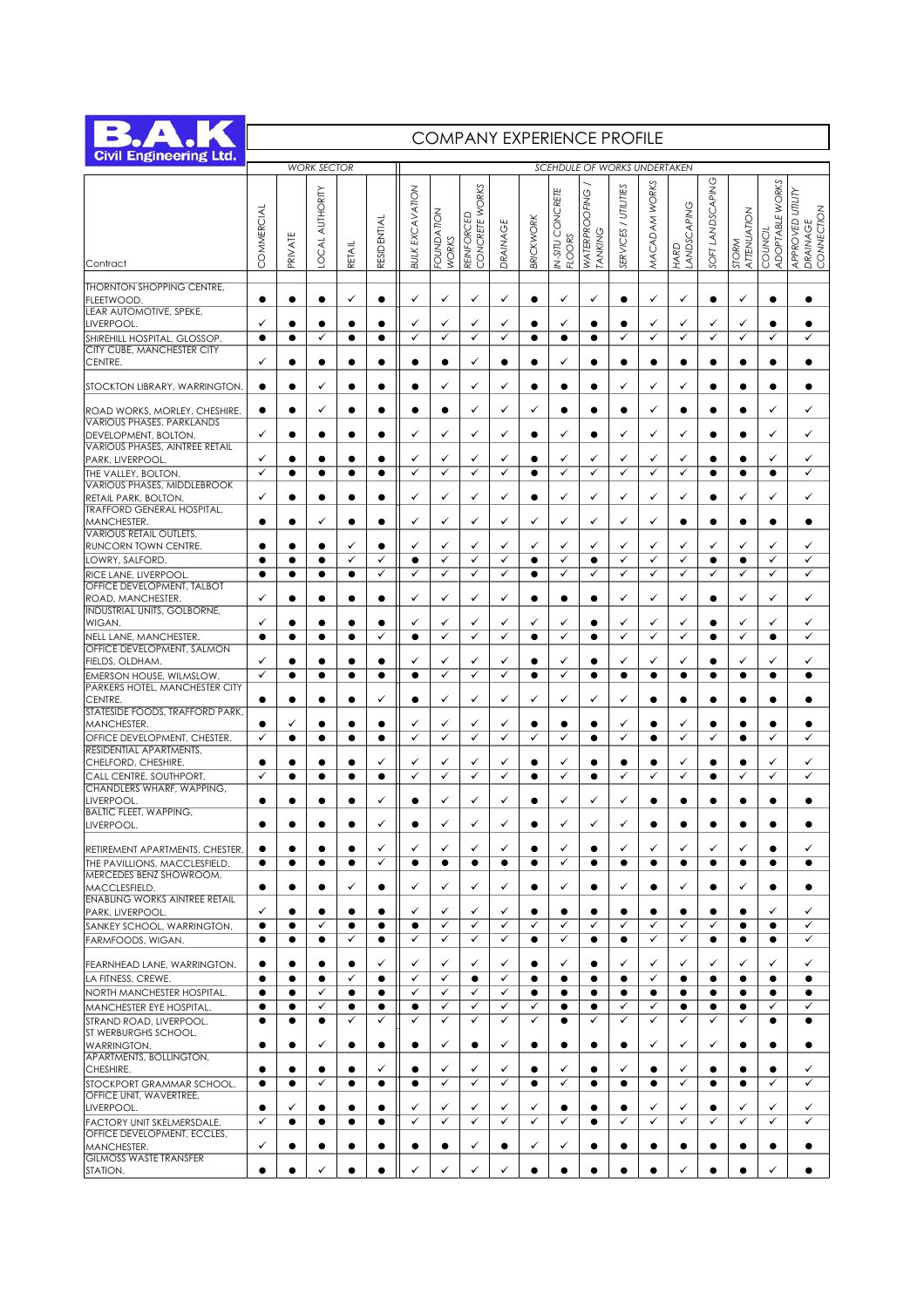

## COMPANY EXPERIENCE PROFILE

| <b>Civil Engineering Ltd.</b>                                                     |                |                        | <b>WORK SECTOR</b>     |                        |                | <b>SCEHDULE OF WORKS UNDERTAKEN</b> |                     |                   |                   |                |                   |                      |                      |                           |                |                           |                        |                        |                                |
|-----------------------------------------------------------------------------------|----------------|------------------------|------------------------|------------------------|----------------|-------------------------------------|---------------------|-------------------|-------------------|----------------|-------------------|----------------------|----------------------|---------------------------|----------------|---------------------------|------------------------|------------------------|--------------------------------|
|                                                                                   | COMMERCIAL     |                        | AUTHORITY              |                        |                | <b>BULK EXCAVATION</b>              |                     | CONCRETE WORKS    |                   |                | IN-SITU CONCRETE  | <b>WATERPROOFING</b> | SERVICES / UTILITIES | MACADAM WORKS             | LANDSCAPING    | SOFT LANDSCAPING          | ATTENUATION            | ADOPTABLE WORKS        | APPROVED UTILITY<br>CONNECTION |
| Contract                                                                          |                | PRIVATE                | OCAL.                  | <b>RETAIL</b>          | RESIDENTIAL    |                                     | FOUNDATION<br>WORKS | <b>REINFORCED</b> | DRAINAGE          | BRICKWORK      | <b>FLOORS</b>     | TANKING              |                      |                           | HARD           |                           | STORM                  | COUNCIL                | <b>DRAINAGE</b>                |
| <b>THORNTON SHOPPING CENTRE,</b><br>FLEETWOOD.                                    | $\bullet$      | $\bullet$              | $\bullet$              | ✓                      | $\bullet$      | ✓                                   | ✓                   | ✓                 | ✓                 | $\bullet$      | ✓                 | ✓                    | $\bullet$            | ✓                         | ✓              | $\bullet$                 | ✓                      | $\bullet$              | $\bullet$                      |
| LEAR AUTOMOTIVE, SPEKE,<br>LIVERPOOL.                                             | ✓              | ٠                      | $\bullet$              | $\bullet$              | $\bullet$      | ✓                                   | ✓                   | ✓                 | ✓                 |                | ✓                 |                      |                      | ✓                         | ✓              | ✓                         | ✓                      | e                      |                                |
| SHIREHILL HOSPITAL, GLOSSOP.                                                      | $\bullet$      | $\bullet$              | ✓                      | $\bullet$              | $\bullet$      | ✓                                   | ✓                   | ✓                 | ✓                 | $\bullet$      | $\bullet$         | $\bullet$            | ✓                    | ✓                         | ✓              | ✓                         | $\checkmark$           | $\checkmark$           | ✓                              |
| CITY CUBE, MANCHESTER CITY<br>CENTRE.                                             | ✓              | $\bullet$              | $\bullet$              | $\bullet$              | ٠              | ٠                                   | $\bullet$           | ✓                 | $\bullet$         | ٠              | ✓                 |                      | $\bullet$            | $\bullet$                 | $\bullet$      | $\bullet$                 | $\bullet$              | ٠                      | $\bullet$                      |
| STOCKTON LIBRARY, WARRINGTON.                                                     |                | ٠                      | ✓                      |                        |                |                                     | ✓                   | ✓                 | ✓                 | ٠              | ٠                 |                      | ✓                    | ✓                         | ✓              |                           |                        | e                      |                                |
| ROAD WORKS, MORLEY, CHESHIRE.<br><b>VARIOUS PHASES, PARKLANDS</b>                 | $\bullet$      | $\bullet$              | ✓                      | $\bullet$              | $\bullet$      | $\bullet$                           | $\bullet$           | ✓                 | ✓                 | ✓              | $\bullet$         |                      | $\bullet$            | ✓                         | $\bullet$      | $\bullet$                 | $\bullet$              | ✓                      | ✓                              |
| DEVELOPMENT, BOLTON.<br><b>VARIOUS PHASES, AINTREE RETAIL</b>                     | ✓              | ٠                      | $\bullet$              | $\bullet$              | $\bullet$      | ✓                                   | ✓                   | ✓                 | ✓                 |                | ✓                 |                      | ✓                    | ✓                         | ✓              |                           |                        | ✓                      | ✓                              |
| PARK, LIVERPOOL.                                                                  | ✓              | $\bullet$              | $\bullet$              | $\bullet$              | $\bullet$      | ✓                                   | ✓                   | ✓                 | ✓                 | ٠              | ✓                 | ✓                    | ✓                    | ✓                         | ✓              |                           |                        | ✓                      | ✓                              |
| THE VALLEY, BOLTON.<br><b>VARIOUS PHASES, MIDDLEBROOK</b><br>RETAIL PARK, BOLTON. | ✓<br>✓         | $\bullet$<br>$\bullet$ | $\bullet$<br>$\bullet$ | $\bullet$<br>$\bullet$ | $\bullet$<br>٠ | ✓<br>✓                              | ✓<br>✓              | ✓<br>✓            | ✓<br>✓            | $\bullet$<br>٠ | ✓<br>✓            | ✓<br>✓               | ✓<br>✓               | ✓<br>✓                    | ✓<br>✓         | $\bullet$<br>$\bullet$    | $\bullet$<br>✓         | $\bullet$<br>✓         | ✓<br>✓                         |
| <b>TRAFFORD GENERAL HOSPITAL,</b><br>MANCHESTER.                                  |                | ٠                      | ✓                      | $\bullet$              | ٠              | ✓                                   | ✓                   | ✓                 | ✓                 | ✓              | ✓                 | ✓                    | ✓                    | ✓                         | $\bullet$      | $\bullet$                 | $\bullet$              |                        | $\bullet$                      |
| <b>VARIOUS RETAIL OUTLETS.</b>                                                    |                |                        |                        |                        |                |                                     |                     |                   |                   |                |                   |                      |                      |                           |                |                           |                        |                        |                                |
| RUNCORN TOWN CENTRE.                                                              | $\bullet$      | $\bullet$              | $\bullet$<br>$\bullet$ | ✓<br>✓                 | $\bullet$<br>✓ | ✓<br>$\bullet$                      | ✓<br>$\checkmark$   | ✓<br>$\checkmark$ | ✓<br>$\checkmark$ | ✓<br>$\bullet$ | ✓<br>$\checkmark$ | ✓<br>$\bullet$       | ✓<br>✓               | ✓<br>✓                    | ✓<br>✓         | ✓<br>$\bullet$            | ✓<br>$\bullet$         | ✓<br>✓                 | ✓<br>✓                         |
| LOWRY, SALFORD<br>RICE LANE, LIVERPOOL.                                           |                |                        | $\bullet$              | $\bullet$              | ✓              | ✓                                   | $\checkmark$        | ✓                 | ✓                 | $\bullet$      | $\checkmark$      | ✓                    | ✓                    | ✓                         | ✓              | ✓                         | ✓                      | ✓                      | ✓                              |
| <b>OFFICE DEVELOPMENT, TALBOT</b><br>ROAD, MANCHESTER.                            | ✓              | ٠                      | $\bullet$              | $\bullet$              | $\bullet$      | ✓                                   | ✓                   | ✓                 | ✓                 | ٠              | ٠                 |                      | ✓                    | ✓                         | ✓              | $\bullet$                 | ✓                      | ✓                      | ✓                              |
| <b>INDUSTRIAL UNITS, GOLBORNE,</b><br>WIGAN.                                      | ✓              | ٠                      | $\bullet$              | $\bullet$              | ٠              | ✓                                   | ✓                   | ✓                 | ✓                 | ✓              | ✓                 |                      | ✓                    | $\checkmark$              | ✓              | $\bullet$                 | ✓                      | ✓                      | ✓                              |
| NELL LANE, MANCHESTER.<br>OFFICE DEVELOPMENT, SALMON                              | $\bullet$      | $\bullet$              | $\bullet$              | $\bullet$              | ✓              | $\bullet$                           | ✓                   | ✓                 | ✓                 | $\bullet$      | $\checkmark$      | $\bullet$            | ✓                    | ✓                         | ✓              | $\bullet$                 | $\checkmark$           | $\bullet$              | $\checkmark$                   |
| FIELDS, OLDHAM.                                                                   | ✓              | ٠                      | $\bullet$              | $\bullet$              | $\bullet$      | ✓                                   | ✓                   | ✓                 | ✓                 | ٠              | ✓                 |                      | ✓                    | ✓                         | ✓              |                           | ✓                      | ✓                      | ✓                              |
| EMERSON HOUSE, WILMSLOW.<br>PARKERS HOTEL, MANCHESTER CITY                        | ✓              | ٠                      | $\bullet$              | $\bullet$              | ٠              | $\bullet$                           | ✓                   | ✓                 | ✓                 | ٠              | ✓                 |                      | $\bullet$            | $\bullet$                 | $\bullet$      | $\bullet$                 | $\bullet$              | $\bullet$              | $\bullet$                      |
| CENTRE.<br>STATESIDE FOODS, TRAFFORD PARK,                                        |                | $\bullet$<br>✓         | $\bullet$<br>$\bullet$ | $\bullet$<br>$\bullet$ | ✓              | $\bullet$<br>✓                      | ✓<br>✓              | ✓<br>✓            | ✓<br>✓            | ✓<br>٠         | ✓<br>٠            | ✓                    | ✓<br>✓               | $\bullet$                 | $\bullet$<br>✓ | $\bullet$                 | $\bullet$              | 0                      |                                |
| MANCHESTER.<br>OFFICE DEVELOPMENT, CHESTER.                                       | ✓              | $\bullet$              | $\bullet$              | $\bullet$              | $\bullet$      | ✓                                   | ✓                   | ✓                 | ✓                 | ✓              | ✓                 | $\bullet$            | ✓                    | $\bullet$                 | ✓              | ✓                         | $\bullet$              | ✓                      | ✓                              |
| RESIDENTIAL APARTMENTS,<br>CHELFORD, CHESHIRE.                                    |                | ٠                      | $\bullet$              | $\bullet$              | ✓              | ✓                                   | ✓                   | ✓                 | ✓                 | ٠              | ✓                 |                      | ٠                    | $\bullet$                 | ✓              | $\bullet$                 |                        | ✓                      | ✓                              |
| CALL CENTRE, SOUTHPORT.                                                           | ✓              | $\bullet$              | $\bullet$              | $\bullet$              | $\bullet$      | ✓                                   | $\checkmark$        | ✓                 | ✓                 | $\bullet$      | $\checkmark$      | $\bullet$            | ✓                    | ✓                         | $\checkmark$   | $\bullet$                 | $\checkmark$           | $\checkmark$           | ✓                              |
| <b>CHANDLERS WHARF, WAPPING,</b><br>LIVERPOOL.                                    |                | $\bullet$              | $\bullet$              | ٠                      | ✓              |                                     | ✓                   | ✓                 | ✓                 | ٠              | ✓                 | ✓                    | ✓                    | $\bullet$                 | ٠              | $\bullet$                 |                        | e                      |                                |
| <b>BALTIC FLEET, WAPPING,</b><br>LIVERPOOL.                                       |                |                        | ●                      |                        | ✓              |                                     | ✓                   | ✓                 | ✓                 |                | ✓                 | ✓                    | ✓                    |                           |                | e                         |                        |                        |                                |
| RETIREMENT APARTMENTS, CHESTER.                                                   |                |                        |                        |                        | ✓              |                                     |                     |                   |                   |                |                   |                      |                      |                           |                |                           |                        |                        |                                |
| THE PAVILLIONS, MACCLESFIELD.<br>MERCEDES BENZ SHOWROOM,                          | $\bullet$      | $\bullet$              | $\bullet$              | $\bullet$              | ✓              | $\bullet$                           | $\bullet$           | $\bullet$         | $\bullet$         | $\bullet$      | ✓                 | $\bullet$            | $\bullet$            | $\bullet$                 | $\bullet$      | $\bullet$                 | $\bullet$              | $\bullet$              | $\bullet$                      |
| MACCLESFIELD.<br><b>ENABLING WORKS AINTREE RETAIL</b>                             | $\bullet$      | $\bullet$              | $\bullet$              | ✓                      | ٠              |                                     | ✓                   | ✓                 | ✓                 |                | ✓                 |                      | ✓                    |                           | ✓              |                           | ✓                      |                        |                                |
| PARK, LIVERPOOL.                                                                  | ✓              | ٠                      |                        | ٠                      |                | ✓                                   | ✓                   | ✓                 | ✓                 |                |                   | ٠                    | ٠                    |                           |                |                           |                        | ✓                      | ✓                              |
| SANKEY SCHOOL, WARRINGTON.<br>FARMFOODS, WIGAN.                                   | $\bullet$<br>٠ | $\bullet$<br>$\bullet$ | ✓<br>٠                 | $\bullet$<br>✓         | $\bullet$<br>٠ | ٠<br>✓                              | $\checkmark$<br>✓   | $\checkmark$<br>✓ | ✓<br>✓            | ✓<br>$\bullet$ | ✓<br>✓            | ✓<br>$\bullet$       | ✓<br>$\bullet$       | ✓<br>✓                    | ✓<br>✓         | $\checkmark$<br>$\bullet$ | $\bullet$<br>$\bullet$ | $\bullet$<br>$\bullet$ | $\checkmark$<br>✓              |
| FEARNHEAD LANE, WARRINGTON.                                                       |                | ٠                      | $\bullet$              | $\bullet$              | ✓              | ✓                                   | ✓                   | ✓                 | ✓                 |                | ✓                 |                      | ✓                    | ✓                         | ✓              | ✓                         | ✓                      | ✓                      | ✓                              |
| LA FITNESS, CREWE.<br>NORTH MANCHESTER HOSPITAL.                                  | $\bullet$      | $\bullet$<br>٠         | $\bullet$<br>✓         | ✓<br>٠                 | $\bullet$<br>٠ | ✓<br>✓                              | ✓<br>✓              | $\bullet$<br>✓    | ✓<br>✓            | $\bullet$<br>٠ | $\bullet$<br>٠    | $\bullet$<br>٠       | $\bullet$<br>٠       | $\checkmark$<br>$\bullet$ | $\bullet$<br>٠ | $\bullet$<br>٠            | $\bullet$<br>٠         | $\bullet$<br>$\bullet$ | $\bullet$<br>٠                 |
| MANCHESTER EYE HOSPITAL.                                                          | $\bullet$      | $\bullet$              | ✓                      | ٠                      | ٠              | $\bullet$                           | ✓                   | ✓                 | ✓                 | ✓              | $\bullet$         | $\bullet$            | ✓                    | ✓                         | $\bullet$      | $\bullet$                 | $\bullet$              | ✓                      | ✓                              |
| STRAND ROAD, LIVERPOOL.                                                           | $\bullet$      | $\bullet$              | $\bullet$              | ✓                      | ✓              | ✓                                   | ✓                   | $\checkmark$      | ✓                 | ✓              | $\bullet$         | ✓                    | ✓                    | ✓                         | ✓              | $\checkmark$              | ✓                      | $\bullet$              |                                |
| ST WERBURGHS SCHOOL,<br><b>WARRINGTON.</b>                                        |                | $\bullet$              | ✓                      | ٠                      | ٠              | ٠                                   | ✓                   | ٠                 | $\checkmark$      | $\bullet$      | ٠                 | ٠                    | ٠                    | ✓                         | ✓              | ✓                         |                        |                        |                                |
| APARTMENTS, BOLLINGTON,<br>CHESHIRE.                                              |                | ٠                      | $\bullet$              | ٠                      | ✓              |                                     | ✓                   | ✓                 | ✓                 |                | ✓                 |                      | ✓                    |                           | ✓              |                           |                        |                        | ✓                              |
| STOCKPORT GRAMMAR SCHOOL.                                                         | $\bullet$      | $\bullet$              | ✓                      | $\bullet$              | $\bullet$      | $\bullet$                           | $\checkmark$        | $\checkmark$      | ✓                 | $\bullet$      | ✓                 | ٠                    | $\bullet$            | $\bullet$                 | $\checkmark$   | $\bullet$                 | $\bullet$              | $\checkmark$           | ✓                              |
| OFFICE UNIT, WAVERTREE,                                                           |                |                        |                        |                        |                |                                     |                     |                   |                   |                |                   |                      |                      |                           |                |                           |                        |                        |                                |
| LIVERPOOL.<br>FACTORY UNIT SKELMERSDALE.                                          | ٠<br>✓         | ✓<br>٠                 |                        |                        | ٠<br>٠         | ✓<br>✓                              | ✓<br>✓              | ✓<br>✓            | ✓<br>✓            | ✓<br>✓         | $\bullet$<br>✓    |                      | ✓                    | ✓<br>✓                    | ✓<br>✓         | $\checkmark$              | ✓<br>$\checkmark$      | ✓<br>$\checkmark$      | ✓<br>$\checkmark$              |
| OFFICE DEVELOPMENT, ECCLES,<br>MANCHESTER.                                        | ✓              | ٠                      | ٠                      | ٠                      | ٠              | $\bullet$                           | ٠                   | ✓                 |                   | ✓              | ✓                 |                      | ٠                    | $\bullet$                 | ٠              | $\bullet$                 |                        | ٠                      |                                |
| <b>GILMOSS WASTE TRANSFER</b><br>STATION.                                         | $\bullet$      | $\bullet$              | $\checkmark$           | $\bullet$              | $\bullet$      | ✓                                   | ✓                   | ✓                 | ✓                 | $\bullet$      | $\bullet$         | $\bullet$            | $\bullet$            | $\bullet$                 | $\checkmark$   | $\bullet$                 | $\bullet$              | ✓                      |                                |